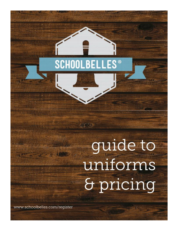## **SCHOOLBELLES<sup>®</sup>**

非常的

# guide to uniforms & pricing

www.schoolbelles.com/register

重新新的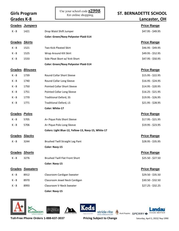#### **Girls Program**  $\parallel$  ose your sensor code **SZDDO** ST. BERNADETTE SCHOOL

| Grades K-8           |                       |                                                     | Lancaster, OH      |
|----------------------|-----------------------|-----------------------------------------------------|--------------------|
|                      | <b>Grades Jumpers</b> |                                                     | <b>Price Range</b> |
| K - 8                | 1421                  | Drop Waist Shift Jumper                             | \$47.95 - \$49.95  |
|                      |                       | <b>Color: Green/Navy Polyester Plaid-514</b>        |                    |
| <b>Grades Skirts</b> |                       |                                                     | <b>Price Range</b> |
| K - 8                | 1521                  | Two Kick Pleated Skirt                              | \$46.95 - \$49.95  |
| K - 8                | 1525                  | Wrap Around Kilt Skirt                              | \$49.95 - \$52.95  |
| K - 8                | 1533                  | Side Pleat Skort w/ Knit Short                      | \$47.95 - \$50.95  |
|                      |                       | <b>Color: Green/Navy Polyester Plaid-514</b>        |                    |
|                      | Grades Blouses        |                                                     | <b>Price Range</b> |
| $K - 8$              | 1739                  | Round Collar Short Sleeve                           | $$15.95 - $22.95$  |
| K - 8                | 1740                  | Round Collar Long Sleeve                            | $$16.95 - $24.95$  |
| K - 8                | 1750                  | <b>Pointed Collar Short Sleeve</b>                  | $$14.95 - $20.95$  |
| K - 8                | 1751                  | Pointed Collar Long Sleeve                          | $$16.25 - $21.95$  |
| K - 8                | 1770                  | <b>Traditional Oxford, SS</b>                       | \$19.95 - \$26.95  |
| K - 8                | 1771                  | <b>Traditional Oxford, LS</b>                       | $$21.95 - $28.95$  |
|                      |                       | Color: White-17                                     |                    |
| Grades Polos         |                       |                                                     | <b>Price Range</b> |
| K - 8                | 5705                  | A+ Pique Polo Short Sleeve                          | $$17.95 - $21.95$  |
| K - 8                | 5706                  | A+ Pique Polo Long Sleeve                           | $$19.95 - $23.95$  |
|                      |                       | Colors: Light Blue-12, Yellow-13, Navy-15, White-17 |                    |
|                      | Grades Slacks         |                                                     | <b>Price Range</b> |
| K - 8                | 3244                  | <b>Brushed Twill Straight Leg Pant</b>              | $$28.95 - $35.95$  |
|                      |                       | <b>Color: Navy-15</b>                               |                    |
|                      | Grades Shorts         |                                                     | <b>Price Range</b> |
| K - 8                | 3276                  | <b>Brushed Twill Flat Front Short</b>               | \$25.50 - \$27.50  |
|                      |                       | Color: Navy-15                                      |                    |
|                      | Grades Sweaters       |                                                     | <b>Price Range</b> |
| K - 8                | 8912                  | Classroom Cardigan Sweater                          | \$29.50 - \$35.50  |
| K - 8                | 8970                  | Classroom Jewel Neck Cardigan                       | \$30.50 - \$32.50  |
| K - 8                | 8993                  | Classroom V-Neck Sweater                            | $$27.25 - $32.25$  |
|                      |                       | Color: Navy-15                                      |                    |







**Toll-Free Phone Orders 1-888-637-3037 Pricing Subject to Change** Saturday, April 2, 2022/ Rep 1990

Landau STRING THE M Hush Pupples SPERRY & MADE BETTER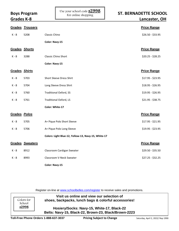|               | Grades Trousers |                                                     | <b>Price Range</b> |
|---------------|-----------------|-----------------------------------------------------|--------------------|
| $K - 8$       | 5208            | Classic Chino                                       | $$26.50 - $33.95$  |
|               |                 | Color: Navy-15                                      |                    |
| Grades Shorts |                 |                                                     | <b>Price Range</b> |
| $K - 8$       | 3288            | Classic Chino Short                                 | $$20.25 - $28.25$  |
|               |                 | <b>Color: Navy-15</b>                               |                    |
| Grades Shirts |                 |                                                     | <b>Price Range</b> |
| K - 8         | 5703            | Short Sleeve Dress Shirt                            | $$17.95 - $23.95$  |
| $K - 8$       | 5704            | Long Sleeve Dress Shirt                             | \$18.95 - \$26.95  |
| K - 8         | 5760            | <b>Traditional Oxford, SS</b>                       | \$19.95 - \$26.95  |
| K - 8         | 5761            | Traditional Oxford, LS                              | $$21.95 - $38.75$  |
|               |                 | Color: White-17                                     |                    |
| Grades Polos  |                 |                                                     | <b>Price Range</b> |
| $K - 8$       | 5705            | A+ Pique Polo Short Sleeve                          | $$17.95 - $21.95$  |
| $K - 8$       | 5706            | A+ Pique Polo Long Sleeve                           | $$19.95 - $23.95$  |
|               |                 | Colors: Light Blue-12, Yellow-13, Navy-15, White-17 |                    |
|               | Grades Sweaters |                                                     | <b>Price Range</b> |
| K - 8         | 8912            | Classroom Cardigan Sweater                          | \$29.50 - \$35.50  |
| $K - 8$       | 8993            | Classroom V-Neck Sweater                            | $$27.25 - $32.25$  |
|               |                 | <b>Color: Navy-15</b>                               |                    |

Register on-line at [www.schoolbelles.com/register](http://www.schoolbelles.com/register) to receive sales and promotions.

Colors for School s2998

**Visit us online and view our selection of shoes, backpacks, lunch bags & colorful accessories!**

**Hosiery/Socks: Navy-15, White-17, Black-22 Belts: Navy-15, Black-22, Brown-23, Black/Brown-2223**